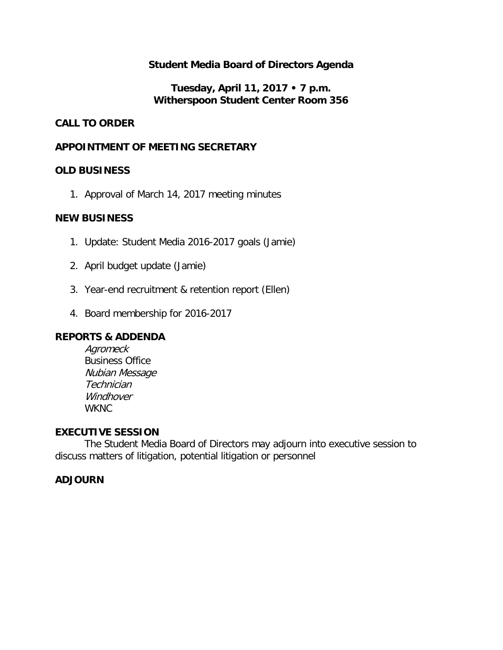### **Student Media Board of Directors Agenda**

## $\cdot$  7 p.m.  Student Media Board of Directors Agenda<br>Tuesday, April 11, 2017 • 7 p.m.<br>Witherspoon Student Center Room 356<br>CALL TO ORDER

### **APPOINTMENT OF MEETING SECRETARY**

### **OLD BUSINESS**

1. Approval of March 14, 2017 meeting minutes

### **NEW BUSINESS**

- 1. Update: Student Media 2016-2017 goals (Jamie)
- 2. April budget update (Jamie)
- 3. Year-end recruitment & retention report (Ellen)
- 4. Board membership for 2016-2017

### **REPORTS & ADDENDA**

Agromeck Business Office Nubian Message **Technician Windhover WKNC** 

### **EXECUTIVE SESSION**

 The Student Media Board of Directors may adjourn into executive session to discuss matters of litigation, potential litigation or personnel

### **ADJOURN**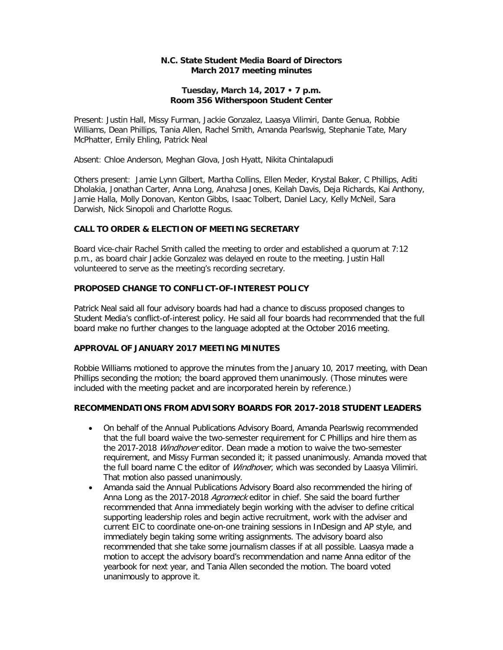## N.C. State Student Media Board of Directors **N.C. State Student Media Board of Directors<br>March 2017 meeting minutes<br>Tuesday, March 14, 2017 • 7 p.m.<br>Room 356 Witherspoon Student Center**

### Tuesday, March 14, 2017 • 7 p.m.

 Present: Justin Hall, Missy Furman, Jackie Gonzalez, Laasya Vilimiri, Dante Genua, Robbie Williams, Dean Phillips, Tania Allen, Rachel Smith, Amanda Pearlswig, Stephanie Tate, Mary McPhatter, Emily Ehling, Patrick Neal

Absent: Chloe Anderson, Meghan Glova, Josh Hyatt, Nikita Chintalapudi

 Others present: Jamie Lynn Gilbert, Martha Collins, Ellen Meder, Krystal Baker, C Phillips, Aditi Dholakia, Jonathan Carter, Anna Long, Anahzsa Jones, Keilah Davis, Deja Richards, Kai Anthony, Jamie Halla, Molly Donovan, Kenton Gibbs, Isaac Tolbert, Daniel Lacy, Kelly McNeil, Sara Darwish, Nick Sinopoli and Charlotte Rogus.

### **CALL TO ORDER & ELECTION OF MEETING SECRETARY**

 Board vice-chair Rachel Smith called the meeting to order and established a quorum at 7:12 p.m., as board chair Jackie Gonzalez was delayed en route to the meeting. Justin Hall volunteered to serve as the meeting's recording secretary.

### **PROPOSED CHANGE TO CONFLICT-OF-INTEREST POLICY**

 Patrick Neal said all four advisory boards had had a chance to discuss proposed changes to Student Media's conflict-of-interest policy. He said all four boards had recommended that the full board make no further changes to the language adopted at the October 2016 meeting.

### **APPROVAL OF JANUARY 2017 MEETING MINUTES**

 Robbie Williams motioned to approve the minutes from the January 10, 2017 meeting, with Dean Phillips seconding the motion; the board approved them unanimously. (Those minutes were included with the meeting packet and are incorporated herein by reference.)

### **RECOMMENDATIONS FROM ADVISORY BOARDS FOR 2017-2018 STUDENT LEADERS**

- •On behalf of the Annual Publications Advisory Board, Amanda Pearlswig recommended that the full board waive the two-semester requirement for C Phillips and hire them as the 2017-2018 Windhover editor. Dean made a motion to waive the two-semester requirement, and Missy Furman seconded it; it passed unanimously. Amanda moved that the full board name C the editor of *Windhover*, which was seconded by Laasya Vilimiri. That motion also passed unanimously.  $\bullet$
- •Amanda said the Annual Publications Advisory Board also recommended the hiring of Anna Long as the 2017-2018 Agromeck editor in chief. She said the board further recommended that Anna immediately begin working with the adviser to define critical supporting leadership roles and begin active recruitment, work with the adviser and current EIC to coordinate one-on-one training sessions in InDesign and AP style, and immediately begin taking some writing assignments. The advisory board also recommended that she take some journalism classes if at all possible. Laasya made a motion to accept the advisory board's recommendation and name Anna editor of the yearbook for next year, and Tania Allen seconded the motion. The board voted unanimously to approve it.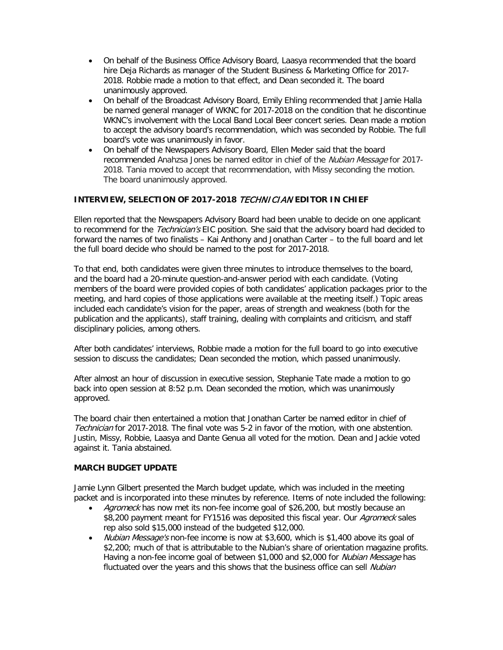- •On behalf of the Business Office Advisory Board, Laasya recommended that the board hire Deja Richards as manager of the Student Business & Marketing Office for 2017 2018. Robbie made a motion to that effect, and Dean seconded it. The board unanimously approved.
- •On behalf of the Broadcast Advisory Board, Emily Ehling recommended that Jamie Halla be named general manager of WKNC for 2017-2018 on the condition that he discontinue WKNC's involvement with the Local Band Local Beer concert series. Dean made a motion to accept the advisory board's recommendation, which was seconded by Robbie. The full board's vote was unanimously in favor.
- •On behalf of the Newspapers Advisory Board, Ellen Meder said that the board recommended Anahzsa Jones be named editor in chief of the Nubian Message for 2017- 2018. Tania moved to accept that recommendation, with Missy seconding the motion. The board unanimously approved.

### **INTERVIEW, SELECTION OF 2017-2018** TECHNICIAN **EDITOR IN CHIEF**

 Ellen reported that the Newspapers Advisory Board had been unable to decide on one applicant to recommend for the *Technician's* EIC position. She said that the advisory board had decided to forward the names of two finalists – Kai Anthony and Jonathan Carter – to the full board and let the full board decide who should be named to the post for 2017-2018.

 To that end, both candidates were given three minutes to introduce themselves to the board, and the board had a 20-minute question-and-answer period with each candidate. (Voting members of the board were provided copies of both candidates' application packages prior to the meeting, and hard copies of those applications were available at the meeting itself.) Topic areas included each candidate's vision for the paper, areas of strength and weakness (both for the publication and the applicants), staff training, dealing with complaints and criticism, and staff disciplinary policies, among others.

 After both candidates' interviews, Robbie made a motion for the full board to go into executive session to discuss the candidates; Dean seconded the motion, which passed unanimously.

 After almost an hour of discussion in executive session, Stephanie Tate made a motion to go back into open session at 8:52 p.m. Dean seconded the motion, which was unanimously approved.

 The board chair then entertained a motion that Jonathan Carter be named editor in chief of Technician for 2017-2018. The final vote was 5-2 in favor of the motion, with one abstention. Justin, Missy, Robbie, Laasya and Dante Genua all voted for the motion. Dean and Jackie voted against it. Tania abstained.

### **MARCH BUDGET UPDATE**

 Jamie Lynn Gilbert presented the March budget update, which was included in the meeting packet and is incorporated into these minutes by reference. Items of note included the following:

- Agromeck has now met its non-fee income goal of \$26,200, but mostly because an \$8,200 payment meant for FY1516 was deposited this fiscal year. Our Agromeck sales rep also sold \$15,000 instead of the budgeted \$12,000.
- Nubian Message's non-fee income is now at \$3,600, which is \$1,400 above its goal of \$2,200; much of that is attributable to the Nubian's share of orientation magazine profits. Having a non-fee income goal of between \$1,000 and \$2,000 for Nubian Message has fluctuated over the years and this shows that the business office can sell Nubian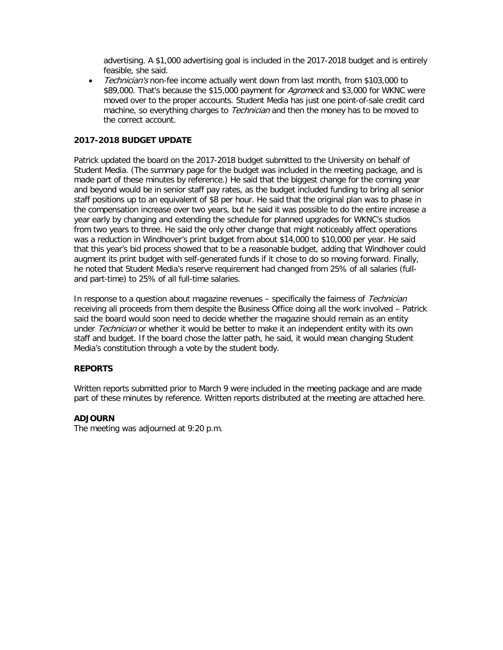advertising. A \$1,000 advertising goal is included in the 2017-2018 budget and is entirely feasible, she said.

• Technician's non-fee income actually went down from last month, from \$103,000 to \$89,000. That's because the \$15,000 payment for *Agromeck* and \$3,000 for WKNC were moved over to the proper accounts. Student Media has just one point-of-sale credit card machine, so everything charges to *Technician* and then the money has to be moved to the correct account.

### **2017-2018 BUDGET UPDATE**

 Patrick updated the board on the 2017-2018 budget submitted to the University on behalf of Student Media. (The summary page for the budget was included in the meeting package, and is made part of these minutes by reference.) He said that the biggest change for the coming year and beyond would be in senior staff pay rates, as the budget included funding to bring all senior staff positions up to an equivalent of \$8 per hour. He said that the original plan was to phase in the compensation increase over two years, but he said it was possible to do the entire increase a year early by changing and extending the schedule for planned upgrades for WKNC's studios from two years to three. He said the only other change that might noticeably affect operations was a reduction in Windhover's print budget from about \$14,000 to \$10,000 per year. He said that this year's bid process showed that to be a reasonable budget, adding that Windhover could augment its print budget with self-generated funds if it chose to do so moving forward. Finally, he noted that Student Media's reserve requirement had changed from 25% of all salaries (full-and part-time) to 25% of all full-time salaries.

In response to a question about magazine revenues - specifically the fairness of Technician receiving all proceeds from them despite the Business Office doing all the work involved – Patrick said the board would soon need to decide whether the magazine should remain as an entity under *Technician* or whether it would be better to make it an independent entity with its own staff and budget. If the board chose the latter path, he said, it would mean changing Student Media's constitution through a vote by the student body.

### **REPORTS**

 Written reports submitted prior to March 9 were included in the meeting package and are made part of these minutes by reference. Written reports distributed at the meeting are attached here.

### **ADJOURN**

The meeting was adjourned at 9:20 p.m.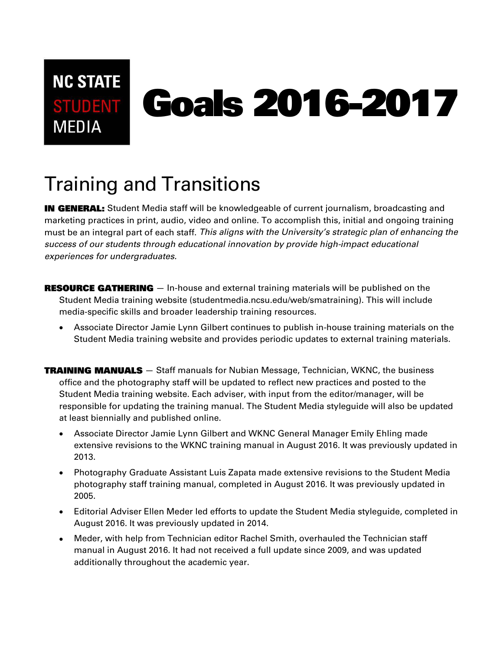## **NC STATE**  MEDIA

# STUDENT Goals 2016-2017

## Training and Transitions

**IN GENERAL:** Student Media staff will be knowledgeable of current journalism, broadcasting and marketing practices in print, audio, video and online. To accomplish this, initial and ongoing training must be an integral part of each staff. *This aligns with the University's strategic plan of enhancing the success of our students through educational innovation by provide high-impact educational experiences for undergraduates.* 

- **RESOURCE GATHERING** In-house and external training materials will be published on the Student Media training website (studentmedia.ncsu.edu/web/smatraining). This will include media-specific skills and broader leadership training resources.
	- •Associate Director Jamie Lynn Gilbert continues to publish in-house training materials on the Student Media training website and provides periodic updates to external training materials.
- **TRAINING MANUALS** Staff manuals for Nubian Message, Technician, WKNC, the business office and the photography staff will be updated to reflect new practices and posted to the Student Media training website. Each adviser, with input from the editor/manager, will be responsible for updating the training manual. The Student Media styleguide will also be updated at least biennially and published online.
	- •Associate Director Jamie Lynn Gilbert and WKNC General Manager Emily Ehling made extensive revisions to the WKNC training manual in August 2016. It was previously updated in 2013.
	- •Photography Graduate Assistant Luis Zapata made extensive revisions to the Student Media photography staff training manual, completed in August 2016. It was previously updated in 2005.
	- •Editorial Adviser Ellen Meder led efforts to update the Student Media styleguide, completed in August 2016. It was previously updated in 2014.
	- •Meder, with help from Technician editor Rachel Smith, overhauled the Technician staff manual in August 2016. It had not received a full update since 2009, and was updated additionally throughout the academic year.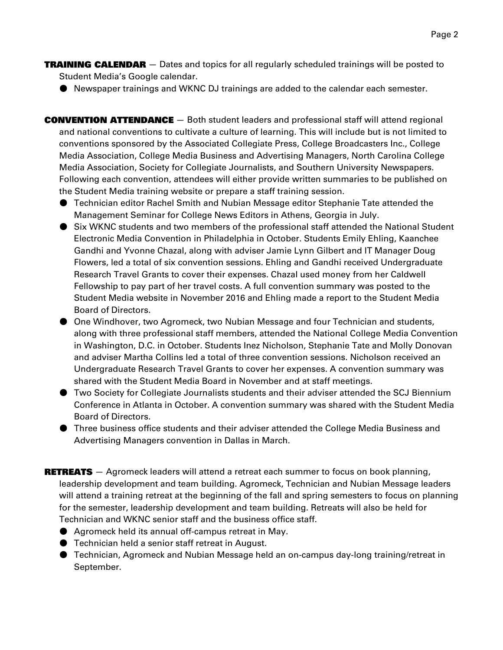- **TRAINING CALENDAR** Dates and topics for all regularly scheduled trainings will be posted to Student Media's Google calendar.
	- ●Newspaper trainings and WKNC DJ trainings are added to the calendar each semester.
- **CONVENTION ATTENDANCE** Both student leaders and professional staff will attend regional and national conventions to cultivate a culture of learning. This will include but is not limited to conventions sponsored by the Associated Collegiate Press, College Broadcasters Inc., College Media Association, College Media Business and Advertising Managers, North Carolina College Media Association, Society for Collegiate Journalists, and Southern University Newspapers. Following each convention, attendees will either provide written summaries to be published on the Student Media training website or prepare a staff training session.
	- Technician editor Rachel Smith and Nubian Message editor Stephanie Tate attended the Management Seminar for College News Editors in Athens, Georgia in July.
	- Six WKNC students and two members of the professional staff attended the National Student Electronic Media Convention in Philadelphia in October. Students Emily Ehling, Kaanchee Gandhi and Yvonne Chazal, along with adviser Jamie Lynn Gilbert and IT Manager Doug Flowers, led a total of six convention sessions. Ehling and Gandhi received Undergraduate Research Travel Grants to cover their expenses. Chazal used money from her Caldwell Fellowship to pay part of her travel costs. A full convention summary was posted to the Student Media website in November 2016 and Ehling made a report to the Student Media Board of Directors.
	- in Washington, D.C. in October. Students Inez Nicholson, Stephanie Tate and Molly Donovan shared with the Student Media Board in November and at staff meetings. ● One Windhover, two Agromeck, two Nubian Message and four Technician and students, along with three professional staff members, attended the National College Media Convention and adviser Martha Collins led a total of three convention sessions. Nicholson received an Undergraduate Research Travel Grants to cover her expenses. A convention summary was
	- ●Two Society for Collegiate Journalists students and their adviser attended the SCJ Biennium Conference in Atlanta in October. A convention summary was shared with the Student Media Board of Directors.
	- ●Three business office students and their adviser attended the College Media Business and Advertising Managers convention in Dallas in March.
- **RETREATS** Agromeck leaders will attend a retreat each summer to focus on book planning, leadership development and team building. Agromeck, Technician and Nubian Message leaders will attend a training retreat at the beginning of the fall and spring semesters to focus on planning for the semester, leadership development and team building. Retreats will also be held for Technician and WKNC senior staff and the business office staff.
	- Agromeck held its annual off-campus retreat in May.
	- Technician held a senior staff retreat in August.
	- Technician, Agromeck and Nubian Message held an on-campus day-long training/retreat in September.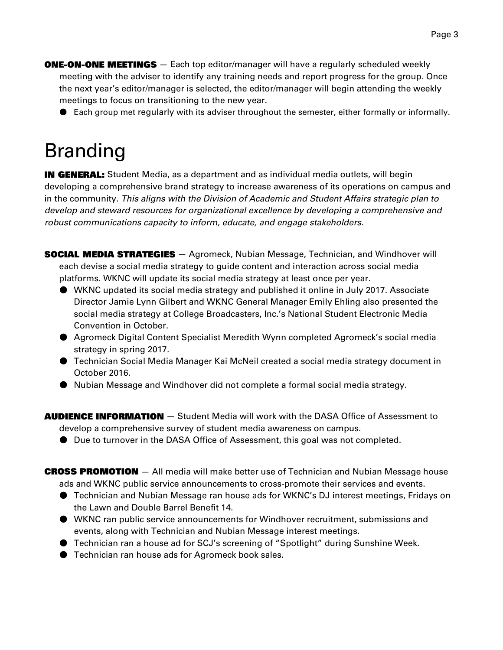- **ONE-ON-ONE MEETINGS** Each top editor/manager will have a regularly scheduled weekly meeting with the adviser to identify any training needs and report progress for the group. Once the next year's editor/manager is selected, the editor/manager will begin attending the weekly meetings to focus on transitioning to the new year.
	- Each group met regularly with its adviser throughout the semester, either formally or informally.

## Branding

**IN GENERAL:** Student Media, as a department and as individual media outlets, will begin developing a comprehensive brand strategy to increase awareness of its operations on campus and in the community. *This aligns with the Division of Academic and Student Affairs strategic plan to develop and steward resources for organizational excellence by developing a comprehensive and robust communications capacity to inform, educate, and engage stakeholders.* 

- **SOCIAL MEDIA STRATEGIES** Agromeck, Nubian Message, Technician, and Windhover will each devise a social media strategy to guide content and interaction across social media platforms. WKNC will update its social media strategy at least once per year.
	- WKNC updated its social media strategy and published it online in July 2017. Associate Director Jamie Lynn Gilbert and WKNC General Manager Emily Ehling also presented the social media strategy at College Broadcasters, Inc.'s National Student Electronic Media Convention in October.
	- Agromeck Digital Content Specialist Meredith Wynn completed Agromeck's social media strategy in spring 2017.
	- Technician Social Media Manager Kai McNeil created a social media strategy document in October 2016.
	- Nubian Message and Windhover did not complete a formal social media strategy.

 AUDIENCE INFORMATION — Student Media will work with the DASA Office of Assessment to develop a comprehensive survey of student media awareness on campus.

- Due to turnover in the DASA Office of Assessment, this goal was not completed.
- **CROSS PROMOTION** All media will make better use of Technician and Nubian Message house ads and WKNC public service announcements to cross-promote their services and events.
	- Technician and Nubian Message ran house ads for WKNC's DJ interest meetings, Fridays on the Lawn and Double Barrel Benefit 14.
	- ●WKNC ran public service announcements for Windhover recruitment, submissions and events, along with Technician and Nubian Message interest meetings.
	- Technician ran a house ad for SCJ's screening of "Spotlight" during Sunshine Week.
	- Technician ran house ads for Agromeck book sales.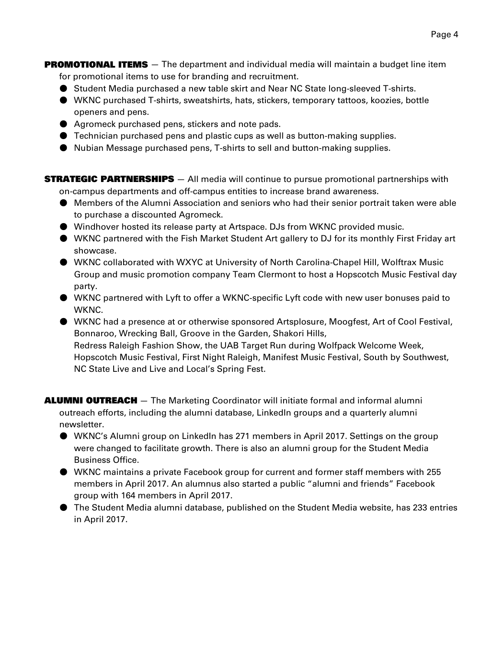**PROMOTIONAL ITEMS** — The department and individual media will maintain a budget line item for promotional items to use for branding and recruitment.

- Student Media purchased a new table skirt and Near NC State long-sleeved T-shirts.
- WKNC purchased T-shirts, sweatshirts, hats, stickers, temporary tattoos, koozies, bottle openers and pens.
- Agromeck purchased pens, stickers and note pads.
- Technician purchased pens and plastic cups as well as button-making supplies.
- Nubian Message purchased pens, T-shirts to sell and button-making supplies.

**STRATEGIC PARTNERSHIPS** - All media will continue to pursue promotional partnerships with on-campus departments and off-campus entities to increase brand awareness.

- ●Members of the Alumni Association and seniors who had their senior portrait taken were able to purchase a discounted Agromeck.
- Windhover hosted its release party at Artspace. DJs from WKNC provided music.
- ●WKNC partnered with the Fish Market Student Art gallery to DJ for its monthly First Friday art showcase.
- WKNC collaborated with WXYC at University of North Carolina-Chapel Hill, Wolftrax Music Group and music promotion company Team Clermont to host a Hopscotch Music Festival day party.
- WKNC partnered with Lyft to offer a WKNC-specific Lyft code with new user bonuses paid to WKNC.
- ●WKNC had a presence at or otherwise sponsored Artsplosure, Moogfest, Art of Cool Festival, Bonnaroo, Wrecking Ball, Groove in the Garden, Shakori Hills, Redress Raleigh Fashion Show, the UAB Target Run during Wolfpack Welcome Week, Hopscotch Music Festival, First Night Raleigh, Manifest Music Festival, South by Southwest, NC State Live and Live and Local's Spring Fest.

ALUMNI OUTREACH - The Marketing Coordinator will initiate formal and informal alumni outreach efforts, including the alumni database, LinkedIn groups and a quarterly alumni newsletter.

- ●WKNC's Alumni group on LinkedIn has 271 members in April 2017. Settings on the group were changed to facilitate growth. There is also an alumni group for the Student Media Business Office.
- ●WKNC maintains a private Facebook group for current and former staff members with 255 members in April 2017. An alumnus also started a public "alumni and friends" Facebook group with 164 members in April 2017.
- ●The Student Media alumni database, published on the Student Media website, has 233 entries in April 2017.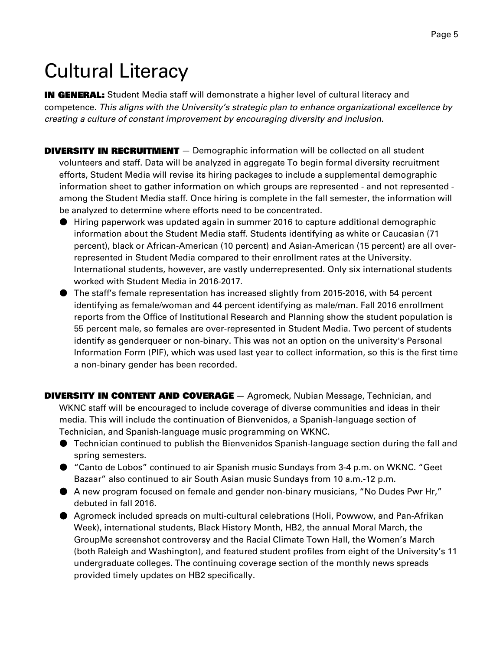## Cultural Literacy

**IN GENERAL:** Student Media staff will demonstrate a higher level of cultural literacy and competence. *This aligns with the University's strategic plan to enhance organizational excellence by creating a culture of constant improvement by encouraging diversity and inclusion.* 

- **DIVERSITY IN RECRUITMENT** Demographic information will be collected on all student volunteers and staff. Data will be analyzed in aggregate To begin formal diversity recruitment efforts, Student Media will revise its hiring packages to include a supplemental demographic information sheet to gather information on which groups are represented - and not represented among the Student Media staff. Once hiring is complete in the fall semester, the information will be analyzed to determine where efforts need to be concentrated.
	- Hiring paperwork was updated again in summer 2016 to capture additional demographic information about the Student Media staff. Students identifying as white or Caucasian (71 percent), black or African-American (10 percent) and Asian-American (15 percent) are all overrepresented in Student Media compared to their enrollment rates at the University. International students, however, are vastly underrepresented. Only six international students worked with Student Media in 2016-2017.
	- ●The staff's female representation has increased slightly from 2015-2016, with 54 percent identifying as female/woman and 44 percent identifying as male/man. Fall 2016 enrollment reports from the Office of Institutional Research and Planning show the student population is 55 percent male, so females are over-represented in Student Media. Two percent of students identify as genderqueer or non-binary. This was not an option on the university's Personal Information Form (PIF), which was used last year to collect information, so this is the first time a non-binary gender has been recorded.
- DIVERSITY IN CONTENT AND COVERAGE Agromeck, Nubian Message, Technician, and Technician, and Spanish-language music programming on WKNC. WKNC staff will be encouraged to include coverage of diverse communities and ideas in their media. This will include the continuation of Bienvenidos, a Spanish-language section of
	- Technician continued to publish the Bienvenidos Spanish-language section during the fall and spring semesters.
	- "Canto de Lobos" continued to air Spanish music Sundays from 3-4 p.m. on WKNC. "Geet Bazaar" also continued to air South Asian music Sundays from 10 a.m.-12 p.m.
	- A new program focused on female and gender non-binary musicians, "No Dudes Pwr Hr," debuted in fall 2016.
	- Agromeck included spreads on multi-cultural celebrations (Holi, Powwow, and Pan-Afrikan Week), international students, Black History Month, HB2, the annual Moral March, the GroupMe screenshot controversy and the Racial Climate Town Hall, the Women's March (both Raleigh and Washington), and featured student profiles from eight of the University's 11 undergraduate colleges. The continuing coverage section of the monthly news spreads provided timely updates on HB2 specifically.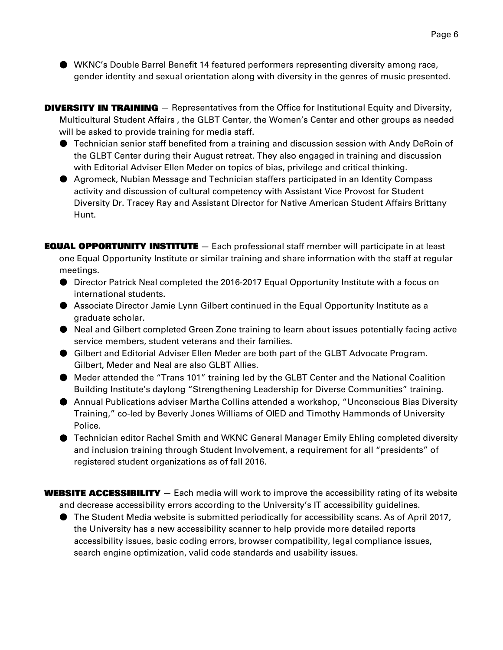- ●WKNC's Double Barrel Benefit 14 featured performers representing diversity among race, gender identity and sexual orientation along with diversity in the genres of music presented.
- **DIVERSITY IN TRAINING** Representatives from the Office for Institutional Equity and Diversity, Multicultural Student Affairs , the GLBT Center, the Women's Center and other groups as needed will be asked to provide training for media staff.
	- ●Technician senior staff benefited from a training and discussion session with Andy DeRoin of the GLBT Center during their August retreat. They also engaged in training and discussion with Editorial Adviser Ellen Meder on topics of bias, privilege and critical thinking.
	- Agromeck, Nubian Message and Technician staffers participated in an Identity Compass activity and discussion of cultural competency with Assistant Vice Provost for Student Diversity Dr. Tracey Ray and Assistant Director for Native American Student Affairs Brittany Hunt.
- **EQUAL OPPORTUNITY INSTITUTE** Each professional staff member will participate in at least one Equal Opportunity Institute or similar training and share information with the staff at regular meetings.
	- Director Patrick Neal completed the 2016-2017 Equal Opportunity Institute with a focus on international students.
	- Associate Director Jamie Lynn Gilbert continued in the Equal Opportunity Institute as a graduate scholar.
	- Neal and Gilbert completed Green Zone training to learn about issues potentially facing active service members, student veterans and their families.
	- ●Gilbert and Editorial Adviser Ellen Meder are both part of the GLBT Advocate Program. Gilbert, Meder and Neal are also GLBT Allies.
	- Meder attended the "Trans 101" training led by the GLBT Center and the National Coalition Building Institute's daylong "Strengthening Leadership for Diverse Communities" training.
	- Annual Publications adviser Martha Collins attended a workshop, "Unconscious Bias Diversity Training," co-led by Beverly Jones Williams of OIED and Timothy Hammonds of University Police.
	- Technician editor Rachel Smith and WKNC General Manager Emily Ehling completed diversity and inclusion training through Student Involvement, a requirement for all "presidents" of registered student organizations as of fall 2016.
- WEBSITE ACCESSIBILITY Each media will work to improve the accessibility rating of its website and decrease accessibility errors according to the University's IT accessibility guidelines.
	- The Student Media website is submitted periodically for accessibility scans. As of April 2017, the University has a new accessibility scanner to help provide more detailed reports accessibility issues, basic coding errors, browser compatibility, legal compliance issues, search engine optimization, valid code standards and usability issues.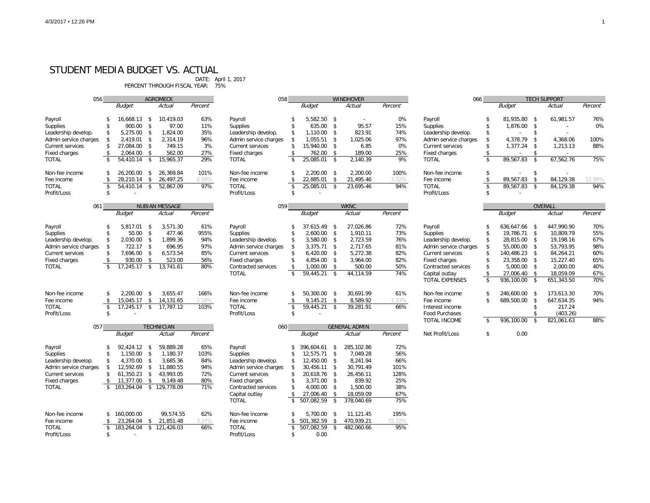### STUDENT MEDIA BUDGET VS. ACTUAL<br><sub>DATE: Af</sub>

<u>|</u><br>April 1, 2017

PERCENT THROUGH FISCAL YEAR: 75%

| <b>AGROMECK</b><br>056       |                         |               |               |                        | 058     |                             | <b>WINDHOVER</b>        |                |            | 066                   |         | <b>TECH SUPPORT</b>   |                         |               |               |            |         |
|------------------------------|-------------------------|---------------|---------------|------------------------|---------|-----------------------------|-------------------------|----------------|------------|-----------------------|---------|-----------------------|-------------------------|---------------|---------------|------------|---------|
|                              |                         | <b>Budget</b> |               | Actual                 | Percent |                             |                         | <b>Budget</b>  |            | Actual                | Percent |                       |                         | <b>Budget</b> |               | Actual     | Percent |
|                              |                         |               |               |                        |         |                             |                         |                |            |                       |         |                       |                         |               |               |            |         |
| Payroll                      | -S                      | 16,668.13 \$  |               | 10,419.03              | 63%     | Payroll                     | \$                      | 5,582.50 \$    |            | $\sim$                | 0%      | Payroll               | \$                      | 81,935.80 \$  |               | 61,981.57  | 76%     |
| Supplies                     | $\mathbf{\hat{s}}$      | 900.00        | $\mathsf{\$}$ | 97.00                  | 11%     | Supplies                    | \$                      | 635.00 \$      |            | 95.57                 | 15%     | Supplies              | \$                      | 1,876.00 \$   |               | $\sim$     | 0%      |
| Leadership develop.          | \$                      | 5,275.00      | \$            | 1,824.00               | 35%     | Leadership develop.         | \$                      | 1,110.00 \$    |            | 823.91                | 74%     | Leadership develop.   | \$                      | $\sim$        | $\mathsf{\$}$ |            |         |
| Admin service charges        | \$                      | 2,419.01 \$   |               | 2,314.19               | 96%     | Admin service charges       | - \$                    | $1,055.51$ \$  |            | 1,025.06              | 97%     | Admin service charges | \$                      | 4,378.79 \$   |               | 4,368.06   | 100%    |
| Current services             | \$                      | 27,084.00 \$  |               | 749.15                 | 3%      | Current services            | \$                      | 15,940.00 \$   |            | 6.85                  | 0%      | Current services      | \$                      | $1,377.24$ \$ |               | 1,213.13   | 88%     |
| Fixed charges                | \$                      | 2,064.00 \$   |               | 562.00                 | 27%     | Fixed charges               | \$                      | 762.00 \$      |            | 189.00                | 25%     | Fixed charges         | \$                      |               | \$            |            |         |
| <b>TOTAL</b>                 | $\mathbf{\hat{s}}$      | 54,410.14     | \$            | 15,965.37              | 29%     | <b>TOTAL</b>                |                         | 25,085.01 \$   |            | 2.140.39              | 9%      | <b>TOTAL</b>          | $\overline{\mathbf{s}}$ | 89,567.83     | $\sqrt{3}$    | 67,562.76  | 75%     |
|                              |                         |               |               |                        |         |                             |                         |                |            |                       |         |                       |                         |               |               |            |         |
| Non-fee income               | \$                      | 26.200.00 \$  |               | 26,369.84              | 101%    | Non-fee income              | \$                      | $2.200.00$ \$  |            | 2,200.00              | 100%    | Non-fee income        | \$                      |               | \$            |            |         |
| Fee income                   | \$                      | 28,210.14 \$  |               | 26,497.25              | 4.09%   | Fee income                  | \$                      | 22,885.01      | \$         | 21,495.46             | 3.32%   | Fee income            | \$                      | 89,567.83     | $\sqrt{2}$    | 84,129.38  | 12.99%  |
| <b>TOTAL</b>                 | $\overline{\mathbf{s}}$ | 54,410.14     | $\sqrt{2}$    | 52,867.09              | 97%     | <b>TOTAL</b>                |                         | 25,085.01      | $\sqrt{2}$ | 23,695.46             | 94%     | <b>TOTAL</b>          | $\overline{\mathsf{s}}$ | 89,567.83     | $\mathsf{\$}$ | 84,129.38  | 94%     |
| Profit/Loss                  | \$                      |               |               |                        |         | Profit/Loss                 | \$                      |                |            |                       |         | Profit/Loss           | \$                      |               |               |            |         |
| 061<br><b>NUBIAN MESSAGE</b> |                         |               |               |                        |         | 059<br><b>WKNC</b>          |                         |                |            |                       |         |                       | OVERALL                 |               |               |            |         |
|                              |                         | <b>Budget</b> |               | Actual                 | Percent |                             |                         | <b>Budget</b>  |            | Actual                | Percent |                       |                         | <b>Budget</b> |               | Actual     | Percent |
|                              |                         |               |               |                        |         |                             |                         |                |            |                       |         |                       |                         |               |               |            |         |
| Payroll                      | -S                      | 5.817.01 \$   |               | 3,571.30               | 61%     | Payroll                     | \$                      | 37,615.49 \$   |            | 27.026.86             | 72%     | Payroll               | $\mathbf{\hat{S}}$      | 636,647.66 \$ |               | 447.990.90 | 70%     |
| Supplies                     | $\mathbf{\hat{s}}$      | 50.00         | -\$           | 477.46                 | 955%    | Supplies                    | \$                      | $2,600.00$ \$  |            | 1,910.11              | 73%     | Supplies              | \$                      | 19,786.71 \$  |               | 10,809.79  | 55%     |
| Leadership develop.          | \$                      | 2,030.00      | $\mathsf{\$}$ | 1,899.36               | 94%     | Leadership develop.         | \$                      | 3,580.00 \$    |            | 2,723.59              | 76%     | Leadership develop.   | \$                      | 28,815.00 \$  |               | 19,198.16  | 67%     |
| Admin service charges        | \$                      | 722.17 \$     |               | 696.95                 | 97%     | Admin service charges       | \$                      | $3,375.71$ \$  |            | 2,717.65              | 81%     | Admin service charges | \$                      | 55,000.00     | $\sqrt{5}$    | 53,793.95  | 98%     |
| Current services             | \$                      | 7,696.00      | \$            | 6,573.54               | 85%     | Current services            | \$                      | $6,420.00$ \$  |            | 5,272.38              | 82%     | Current services      | \$                      | 140,486.23 \$ |               | 84,264.21  | 60%     |
| Fixed charges                | $\mathbf{s}$            | 930.00        | - \$          | 523.00                 | 56%     | Fixed charges               | \$                      | 4,854.00 \$    |            | 3,964.00              | 82%     | <b>Fixed charges</b>  | \$                      | 23,358.00     | $\sqrt{5}$    | 15,227.40  | 65%     |
| <b>TOTAL</b>                 | $\mathbf{\hat{s}}$      |               |               | 17,245.17 \$ 13,741.61 | 80%     | Contracted services         | \$                      | $1,000.00$ \$  |            | 500.00                | 50%     | Contracted services   | \$                      | $5,000.00$ \$ |               | 2,000.00   | 40%     |
|                              |                         |               |               |                        |         | <b>TOTAL</b>                |                         |                |            | 44,114.59             | 74%     |                       | $\mathsf{\$}$           |               |               |            |         |
|                              |                         |               |               |                        |         |                             |                         | 59,445.21 \$   |            |                       |         | Capital outlay        |                         | 27,006.40     | \$            | 18,059.09  | 67%     |
|                              |                         |               |               |                        |         |                             |                         |                |            |                       |         | <b>TOTAL EXPENSES</b> | $\mathsf{\$}$           | 936,100.00 \$ |               | 651,343.50 | 70%     |
| Non-fee income               | \$                      | $2,200.00$ \$ |               | 3,655.47               | 166%    | Non-fee income              | \$                      | 50,300.00 \$   |            | 30,691.99             | 61%     | Non-fee income        | \$                      | 246,600.00 \$ |               | 173,613.30 | 70%     |
| Fee income                   | \$                      | 15,045.17     | $\mathsf{\$}$ | 14,131.65              | 2.18%   | Fee income                  | s.                      | 9,145.21       | \$         | 8,589.92              | 1.33%   | Fee income            | \$                      | 689,500.00    | $\sqrt[6]{3}$ | 647,634.35 | 94%     |
| <b>TOTAL</b>                 | \$                      | 17,245.17 \$  |               | 17,787.12              | 103%    | <b>TOTAL</b>                | $\overline{\mathbf{s}}$ | $59,445.21$ \$ |            | 39,281.91             | 66%     | Interest income       |                         |               | \$            | 217.24     |         |
| Profit/Loss                  | \$                      | ÷.            |               |                        |         | Profit/Loss                 | \$                      |                |            |                       |         | Food Purchases        |                         |               | \$            | (403.26)   |         |
|                              |                         |               |               |                        |         |                             |                         |                |            |                       |         | TOTAL INCOME          | \$                      | 936,100.00    | $\sqrt{2}$    | 821,061.63 | 88%     |
| 057<br><b>TECHNICIAN</b>     |                         |               |               |                        |         | 060<br><b>GENERAL ADMIN</b> |                         |                |            |                       |         |                       |                         |               |               |            |         |
|                              |                         | Budget        |               | Actual                 | Percent |                             |                         | <b>Budget</b>  |            | Actual                | Percent | Net Profit/Loss       | \$                      | 0.00          |               |            |         |
| Payroll                      | -S                      | 92,424.12 \$  |               | 59,889.28              | 65%     | Payroll                     | \$                      | 396,604.61 \$  |            | 285,102.86            | 72%     |                       |                         |               |               |            |         |
| Supplies                     | $\mathbf{\hat{s}}$      | 1,150.00      | \$            | 1,180.37               | 103%    | Supplies                    | $\mathbf{\hat{S}}$      | 12,575.71 \$   |            | 7,049.28              | 56%     |                       |                         |               |               |            |         |
| Leadership develop.          | \$                      | 4,370.00      | - \$          | 3.685.36               | 84%     | Leadership develop.         | \$                      | 12,450.00 \$   |            | 8.241.94              | 66%     |                       |                         |               |               |            |         |
| Admin service charges        | \$                      | 12,592.69 \$  |               | 11,880.55              | 94%     | Admin service charges       | \$                      | 30,456.11 \$   |            | 30,791.49             | 101%    |                       |                         |               |               |            |         |
| Current services             | \$                      | 61,350.23     | $\mathsf{\$}$ | 43,993.05              | 72%     | <b>Current services</b>     | \$                      | 20,618.76 \$   |            | 26,456.11             | 128%    |                       |                         |               |               |            |         |
| Fixed charges                | $\mathbb{S}$            | 11,377.00 \$  |               | 9,149.48               | 80%     | Fixed charges               | \$                      | 3,371.00 \$    |            | 839.92                | 25%     |                       |                         |               |               |            |         |
| <b>TOTAL</b>                 |                         |               |               |                        | 71%     |                             | \$                      |                |            |                       | 38%     |                       |                         |               |               |            |         |
|                              |                         | 183,264.04    |               | \$129,778.09           |         | Contracted services         |                         | 4,000.00 \$    |            | 1,500.00<br>18.059.09 |         |                       |                         |               |               |            |         |
|                              |                         |               |               |                        |         | Capital outlay              | \$                      | 27.006.40 \$   |            |                       | 67%     |                       |                         |               |               |            |         |
|                              |                         |               |               |                        |         | <b>TOTAL</b>                |                         | 507,082.59 \$  |            | 378,040.69            | 75%     |                       |                         |               |               |            |         |
| Non-fee income               |                         | \$160,000.00  |               | 99,574.55              | 62%     | Non-fee income              | \$                      | 5,700.00 \$    |            | 11,121.45             | 195%    |                       |                         |               |               |            |         |
| Fee income                   | -S                      | 23,264.04 \$  |               | 21,851.48              | 3.37%   | Fee income                  | \$                      | 501,382.59     | - \$       | 470,939.21            | 72.72%  |                       |                         |               |               |            |         |
| <b>TOTAL</b>                 | \$                      | 183,264.04    | $\mathsf{\$}$ | 121,426.03             | 66%     | <b>TOTAL</b>                |                         | 507,082.59     | \$         | 482,060.66            | 95%     |                       |                         |               |               |            |         |
| Profit/Loss                  | \$                      | $\sim$        |               |                        |         | Profit/Loss                 | \$                      | 0.00           |            |                       |         |                       |                         |               |               |            |         |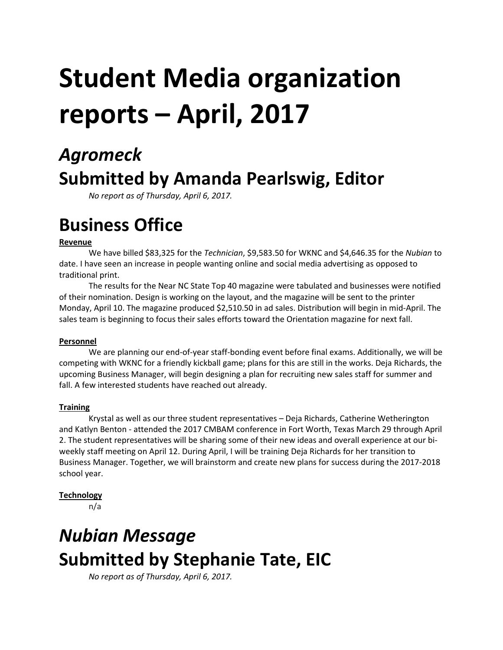## **reports – April, 2017 Student Media organization**

## *Agromeck*  **Submitted by Amanda Pearlswig, Editor**

*No report as of Thursday, April 6, 2017.* 

## **Business Office**

### **Revenue**

 We have billed \$83,325 for the *Technician*, \$9,583.50 for WKNC and \$4,646.35 for the *Nubian* to date. I have seen an increase in people wanting online and social media advertising as opposed to traditional print.

 Monday, April 10. The magazine produced \$2,510.50 in ad sales. Distribution will begin in mid-April. The The results for the Near NC State Top 40 magazine were tabulated and businesses were notified of their nomination. Design is working on the layout, and the magazine will be sent to the printer sales team is beginning to focus their sales efforts toward the Orientation magazine for next fall.

### **Personnel**

 competing with WKNC for a friendly kickball game; plans for this are still in the works. Deja Richards, the We are planning our end-of-year staff-bonding event before final exams. Additionally, we will be upcoming Business Manager, will begin designing a plan for recruiting new sales staff for summer and fall. A few interested students have reached out already.

### **Training**

 and Katlyn Benton - attended the 2017 CMBAM conference in Fort Worth, Texas March 29 through April weekly staff meeting on April 12. During April, I will be training Deja Richards for her transition to Krystal as well as our three student representatives – Deja Richards, Catherine Wetherington 2. The student representatives will be sharing some of their new ideas and overall experience at our bi-Business Manager. Together, we will brainstorm and create new plans for success during the 2017-2018 school year.

### **Technology**

n/a

## *Nubian Message*  **Submitted by Stephanie Tate, EIC**

*No report as of Thursday, April 6, 2017.*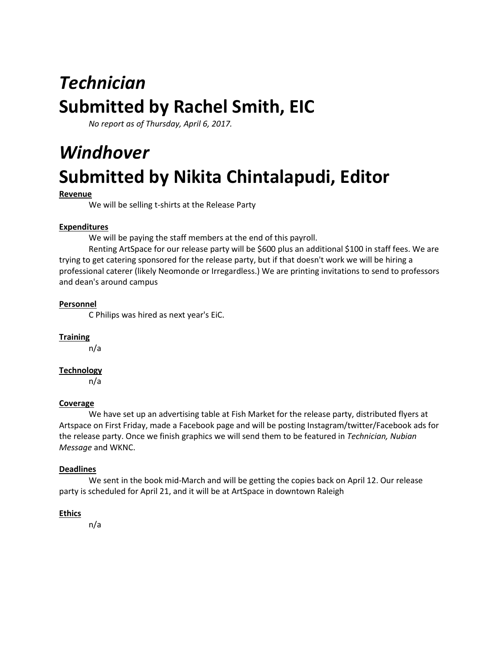## *Technician*  **Submitted by Rachel Smith, EIC**

*No report as of Thursday, April 6, 2017.* 

## *Windhover*  **Submitted by Nikita Chintalapudi, Editor**

### **Revenue**

We will be selling t-shirts at the Release Party

### **Expenditures**

We will be paying the staff members at the end of this payroll.

 Renting ArtSpace for our release party will be \$600 plus an additional \$100 in staff fees. We are and dean's around campus trying to get catering sponsored for the release party, but if that doesn't work we will be hiring a professional caterer (likely Neomonde or Irregardless.) We are printing invitations to send to professors

### **Personnel**

C Philips was hired as next year's EiC.

### **Training**

n/a

### **Technology**

n/a

### **Coverage**

 *Message* and WKNC. We have set up an advertising table at Fish Market for the release party, distributed flyers at Artspace on First Friday, made a Facebook page and will be posting Instagram/twitter/Facebook ads for the release party. Once we finish graphics we will send them to be featured in *Technician, Nubian* 

### **Deadlines**

 We sent in the book mid-March and will be getting the copies back on April 12. Our release party is scheduled for April 21, and it will be at ArtSpace in downtown Raleigh

### **Ethics**

n/a